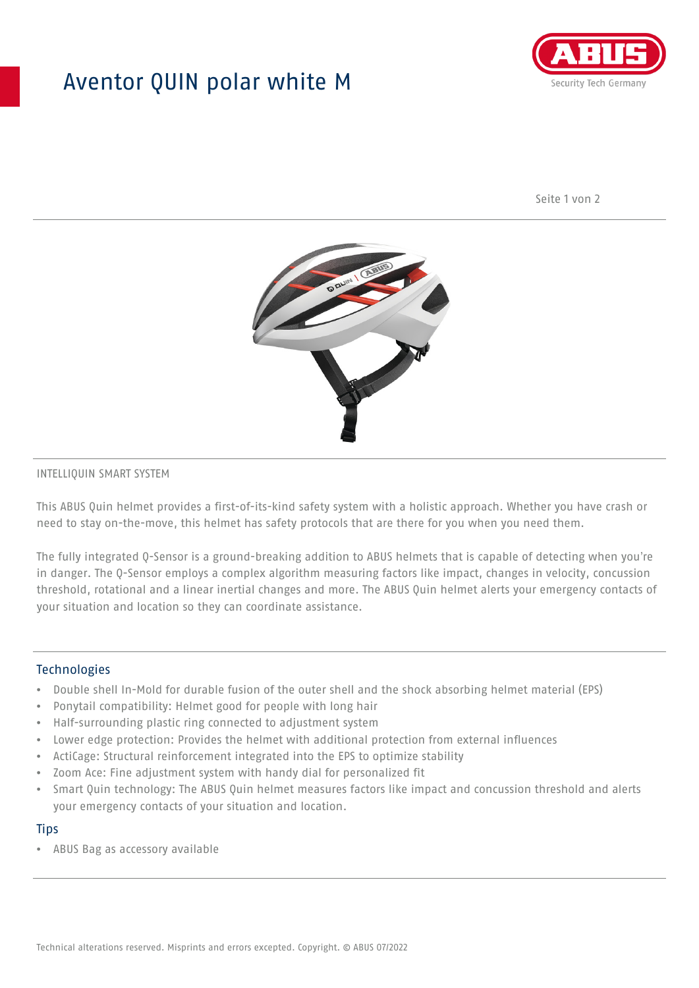## Aventor QUIN polar white M



Seite 1 von 2



#### INTELLIQUIN SMART SYSTEM

This ABUS Quin helmet provides a first-of-its-kind safety system with a holistic approach. Whether you have crash or need to stay on-the-move, this helmet has safety protocols that are there for you when you need them.

The fully integrated Q-Sensor is a ground-breaking addition to ABUS helmets that is capable of detecting when you're in danger. The Q-Sensor employs a complex algorithm measuring factors like impact, changes in velocity, concussion threshold, rotational and a linear inertial changes and more. The ABUS Quin helmet alerts your emergency contacts of your situation and location so they can coordinate assistance.

#### **Technologies**

- Double shell In-Mold for durable fusion of the outer shell and the shock absorbing helmet material (EPS)
- Ponytail compatibility: Helmet good for people with long hair
- Half-surrounding plastic ring connected to adjustment system
- Lower edge protection: Provides the helmet with additional protection from external influences
- ActiCage: Structural reinforcement integrated into the EPS to optimize stability
- Zoom Ace: Fine adjustment system with handy dial for personalized fit
- Smart Quin technology: The ABUS Quin helmet measures factors like impact and concussion threshold and alerts your emergency contacts of your situation and location.

#### **Tips**

• ABUS Bag as accessory available